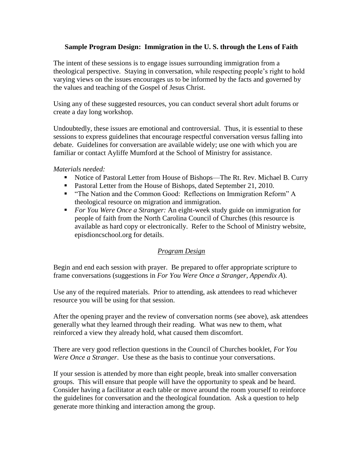# **Sample Program Design: Immigration in the U. S. through the Lens of Faith**

The intent of these sessions is to engage issues surrounding immigration from a theological perspective. Staying in conversation, while respecting people's right to hold varying views on the issues encourages us to be informed by the facts and governed by the values and teaching of the Gospel of Jesus Christ.

Using any of these suggested resources, you can conduct several short adult forums or create a day long workshop.

Undoubtedly, these issues are emotional and controversial. Thus, it is essential to these sessions to express guidelines that encourage respectful conversation versus falling into debate. Guidelines for conversation are available widely; use one with which you are familiar or contact Ayliffe Mumford at the School of Ministry for assistance.

## *Materials needed:*

- Notice of Pastoral Letter from House of Bishops—The Rt. Rev. Michael B. Curry
- **Pastoral Letter from the House of Bishops, dated September 21, 2010.**
- " "The Nation and the Common Good: Reflections on Immigration Reform" A theological resource on migration and immigration.
- *For You Were Once a Stranger:* An eight-week study guide on immigration for people of faith from the North Carolina Council of Churches (this resource is available as hard copy or electronically. Refer to the School of Ministry website, episdioncschool.org for details.

## *Program Design*

Begin and end each session with prayer. Be prepared to offer appropriate scripture to frame conversations (suggestions in *For You Were Once a Stranger, Appendix A*).

Use any of the required materials. Prior to attending, ask attendees to read whichever resource you will be using for that session.

After the opening prayer and the review of conversation norms (see above), ask attendees generally what they learned through their reading. What was new to them, what reinforced a view they already hold, what caused them discomfort.

There are very good reflection questions in the Council of Churches booklet, *For You Were Once a Stranger*. Use these as the basis to continue your conversations.

If your session is attended by more than eight people, break into smaller conversation groups. This will ensure that people will have the opportunity to speak and be heard. Consider having a facilitator at each table or move around the room yourself to reinforce the guidelines for conversation and the theological foundation. Ask a question to help generate more thinking and interaction among the group.